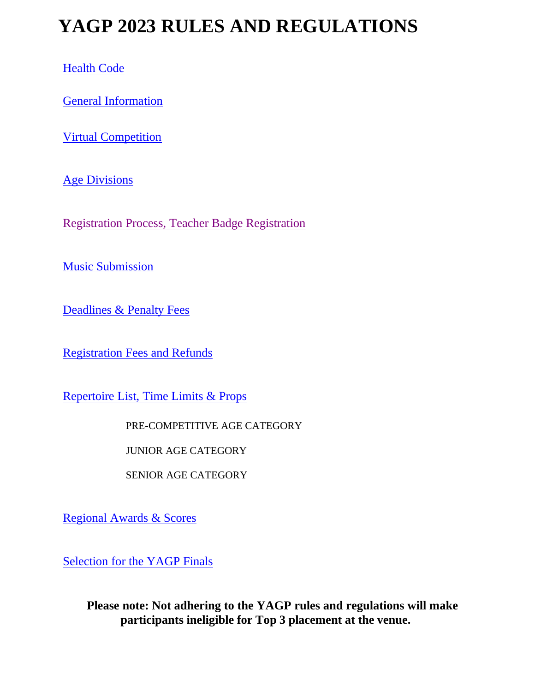# **YAGP 2023 RULES AND REGULATIONS**

[Health Code](#page-1-0)

[General Information](#page-1-1)

[Virtual Competition](#page-3-0)

**[Age Divisions](#page-4-0)** 

[Registration Process, Teacher Badge Registration](#page-5-0)

[Music Submission](#page-6-0)

Deadlines [& Penalty Fees](#page-7-0)

[Registration Fees and Refunds](#page-8-0)

[Repertoire List, Time Limits & Props](#page-10-0)

PRE-COMPETITIVE AGE CATEGORY

JUNIOR AGE CATEGORY

SENIOR AGE CATEGORY

[Regional Awards & Scores](#page-15-0)

[Selection for the YAGP Finals](#page-16-0)

**Please note: Not adhering to the YAGP rules and regulations will make participants ineligible for Top 3 placement at the venue.**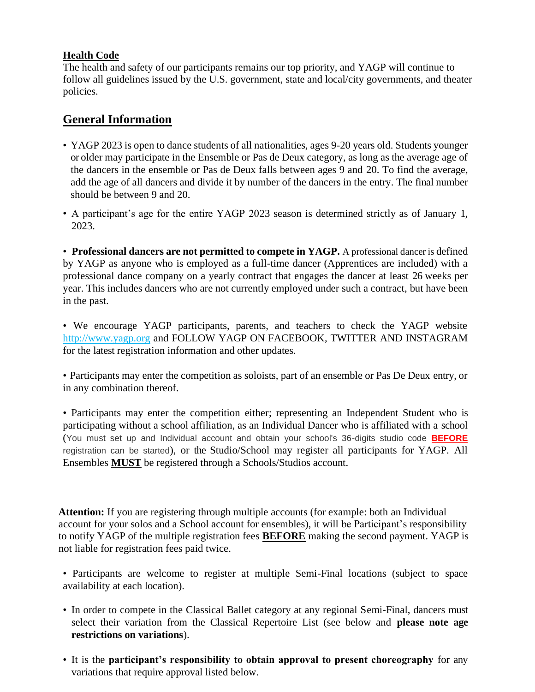#### <span id="page-1-0"></span>**Health Code**

The health and safety of our participants remains our top priority, and YAGP will continue to follow all guidelines issued by the U.S. government, state and local/city governments, and theater policies.

# <span id="page-1-1"></span>**General Information**

- YAGP 2023 is open to dance students of all nationalities, ages 9-20 years old. Students younger or older may participate in the Ensemble or Pas de Deux category, as long as the average age of the dancers in the ensemble or Pas de Deux falls between ages 9 and 20. To find the average, add the age of all dancers and divide it by number of the dancers in the entry. The final number should be between 9 and 20.
- A participant's age for the entire YAGP 2023 season is determined strictly as of January 1, 2023.

• **Professional dancers are not permitted to compete in YAGP.** A professional dancer is defined by YAGP as anyone who is employed as a full-time dancer (Apprentices are included) with a professional dance company on a yearly contract that engages the dancer at least 26 weeks per year. This includes dancers who are not currently employed under such a contract, but have been in the past.

• We encourage YAGP participants, parents, and teachers to check the YAGP website [http://www.yagp.org](http://www.yagp.org/) and FOLLOW YAGP ON FACEBOOK, TWITTER AND INSTAGRAM for the latest registration information and other updates.

• Participants may enter the competition as soloists, part of an ensemble or Pas De Deux entry, or in any combination thereof.

• Participants may enter the competition either; representing an Independent Student who is participating without a school affiliation, as an Individual Dancer who is affiliated with a school (You must set up and Individual account and obtain your school's 36-digits studio code **BEFORE** registration can be started), or the Studio/School may register all participants for YAGP. All Ensembles **MUST** be registered through a Schools/Studios account.

**Attention:** If you are registering through multiple accounts (for example: both an Individual account for your solos and a School account for ensembles), it will be Participant's responsibility to notify YAGP of the multiple registration fees **BEFORE** making the second payment. YAGP is not liable for registration fees paid twice.

• Participants are welcome to register at multiple Semi-Final locations (subject to space availability at each location).

- In order to compete in the Classical Ballet category at any regional Semi-Final, dancers must select their variation from the Classical Repertoire List (see below and **please note age restrictions on variations**).
- It is the **participant's responsibility to obtain approval to present choreography** for any variations that require approval listed below.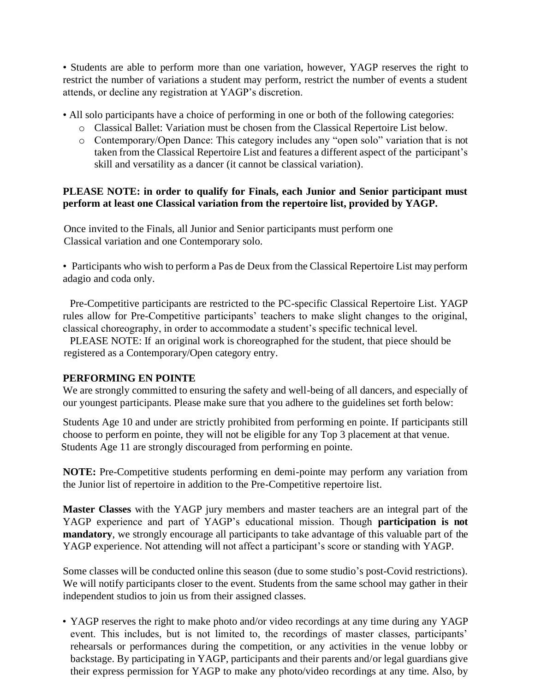• Students are able to perform more than one variation, however, YAGP reserves the right to restrict the number of variations a student may perform, restrict the number of events a student attends, or decline any registration at YAGP's discretion.

- All solo participants have a choice of performing in one or both of the following categories:
	- o Classical Ballet: Variation must be chosen from the Classical Repertoire List below.
	- o Contemporary/Open Dance: This category includes any "open solo" variation that is not taken from the Classical Repertoire List and features a different aspect of the participant's skill and versatility as a dancer (it cannot be classical variation).

#### **PLEASE NOTE: in order to qualify for Finals, each Junior and Senior participant must perform at least one Classical variation from the repertoire list, provided by YAGP.**

Once invited to the Finals, all Junior and Senior participants must perform one Classical variation and one Contemporary solo.

• Participants who wish to perform a Pas de Deux from the Classical Repertoire List may perform adagio and coda only.

Pre-Competitive participants are restricted to the PC-specific Classical Repertoire List. YAGP rules allow for Pre-Competitive participants' teachers to make slight changes to the original, classical choreography, in order to accommodate a student's specific technical level.

 PLEASE NOTE: If an original work is choreographed for the student, that piece should be registered as a Contemporary/Open category entry.

#### **PERFORMING EN POINTE**

We are strongly committed to ensuring the safety and well-being of all dancers, and especially of our youngest participants. Please make sure that you adhere to the guidelines set forth below:

Students Age 10 and under are strictly prohibited from performing en pointe. If participants still choose to perform en pointe, they will not be eligible for any Top 3 placement at that venue. Students Age 11 are strongly discouraged from performing en pointe.

**NOTE:** Pre-Competitive students performing en demi-pointe may perform any variation from the Junior list of repertoire in addition to the Pre-Competitive repertoire list.

**Master Classes** with the YAGP jury members and master teachers are an integral part of the YAGP experience and part of YAGP's educational mission. Though **participation is not mandatory**, we strongly encourage all participants to take advantage of this valuable part of the YAGP experience. Not attending will not affect a participant's score or standing with YAGP.

Some classes will be conducted online this season (due to some studio's post-Covid restrictions). We will notify participants closer to the event. Students from the same school may gather in their independent studios to join us from their assigned classes.

• YAGP reserves the right to make photo and/or video recordings at any time during any YAGP event. This includes, but is not limited to, the recordings of master classes, participants' rehearsals or performances during the competition, or any activities in the venue lobby or backstage. By participating in YAGP, participants and their parents and/or legal guardians give their express permission for YAGP to make any photo/video recordings at any time. Also, by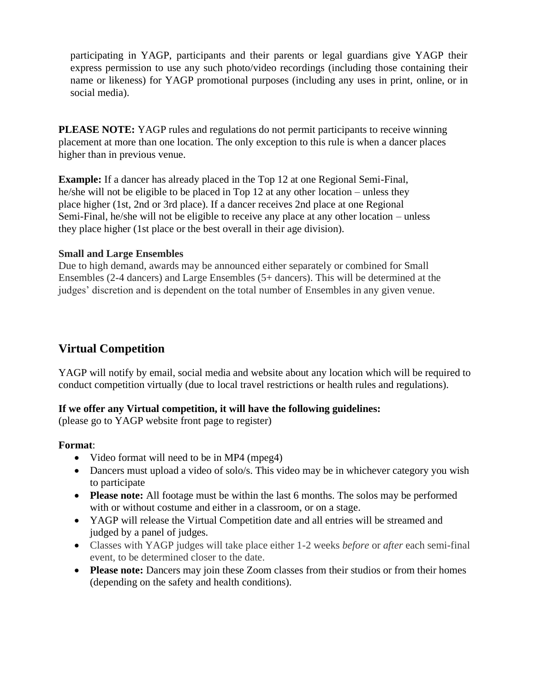participating in YAGP, participants and their parents or legal guardians give YAGP their express permission to use any such photo/video recordings (including those containing their name or likeness) for YAGP promotional purposes (including any uses in print, online, or in social media).

**PLEASE NOTE:** YAGP rules and regulations do not permit participants to receive winning placement at more than one location. The only exception to this rule is when a dancer places higher than in previous venue.

**Example:** If a dancer has already placed in the Top 12 at one Regional Semi-Final, he/she will not be eligible to be placed in Top 12 at any other location – unless they place higher (1st, 2nd or 3rd place). If a dancer receives 2nd place at one Regional Semi-Final, he/she will not be eligible to receive any place at any other location – unless they place higher (1st place or the best overall in their age division).

#### **Small and Large Ensembles**

Due to high demand, awards may be announced either separately or combined for Small Ensembles (2-4 dancers) and Large Ensembles (5+ dancers). This will be determined at the judges' discretion and is dependent on the total number of Ensembles in any given venue.

## <span id="page-3-0"></span>**Virtual Competition**

YAGP will notify by email, social media and website about any location which will be required to conduct competition virtually (due to local travel restrictions or health rules and regulations).

#### **If we offer any Virtual competition, it will have the following guidelines:**

(please go to YAGP website front page to register)

#### **Format**:

- Video format will need to be in MP4 (mpeg4)
- Dancers must upload a video of solo/s. This video may be in whichever category you wish to participate
- **Please note:** All footage must be within the last 6 months. The solos may be performed with or without costume and either in a classroom, or on a stage.
- YAGP will release the Virtual Competition date and all entries will be streamed and judged by a panel of judges.
- Classes with YAGP judges will take place either 1-2 weeks *before* or *after* each semi-final event, to be determined closer to the date.
- **Please note:** Dancers may join these Zoom classes from their studios or from their homes (depending on the safety and health conditions).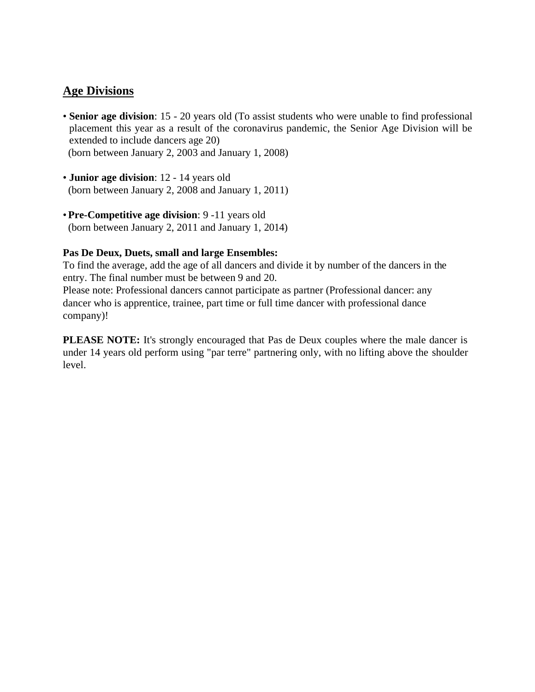## <span id="page-4-0"></span>**Age Divisions**

- **Senior age division**: 15 20 years old (To assist students who were unable to find professional placement this year as a result of the coronavirus pandemic, the Senior Age Division will be extended to include dancers age 20) (born between January 2, 2003 and January 1, 2008)
- **Junior age division**: 12 14 years old (born between January 2, 2008 and January 1, 2011)
- •**Pre-Competitive age division**: 9 -11 years old (born between January 2, 2011 and January 1, 2014)

#### **Pas De Deux, Duets, small and large Ensembles:**

To find the average, add the age of all dancers and divide it by number of the dancers in the entry. The final number must be between 9 and 20.

Please note: Professional dancers cannot participate as partner (Professional dancer: any dancer who is apprentice, trainee, part time or full time dancer with professional dance company)!

**PLEASE NOTE:** It's strongly encouraged that Pas de Deux couples where the male dancer is under 14 years old perform using "par terre" partnering only, with no lifting above the shoulder level.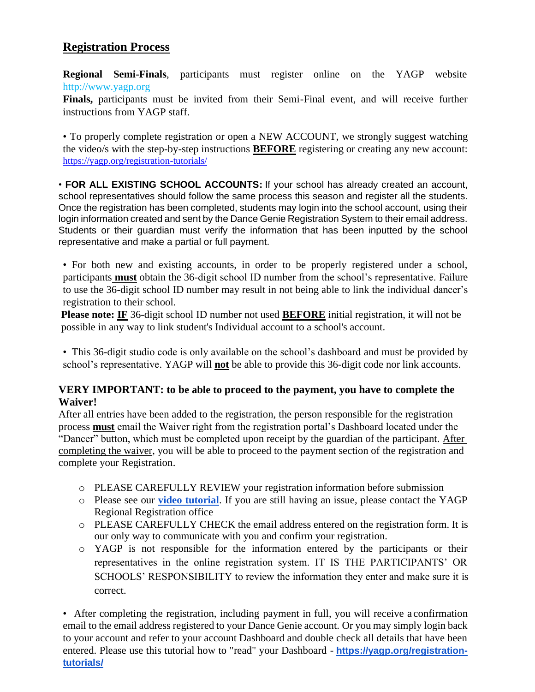# <span id="page-5-0"></span>**Registration Process**

**Regional Semi-Finals**, participants must register online on the YAGP website [http://www.yagp.org](http://www.yagp.org/)

**Finals,** participants must be invited from their Semi-Final event, and will receive further instructions from YAGP staff.

• To properly complete registration or open a NEW ACCOUNT, we strongly suggest watching the video/s with the step-by-step instructions **BEFORE** registering or creating any new account: <https://yagp.org/registration-tutorials/>

• **FOR ALL EXISTING SCHOOL ACCOUNTS:** If your school has already created an account, school representatives should follow the same process this season and register all the students. Once the registration has been completed, students may login into the school account, using their login information created and sent by the Dance Genie Registration System to their email address. Students or their guardian must verify the information that has been inputted by the school representative and make a partial or full payment.

• For both new and existing accounts, in order to be properly registered under a school, participants **must** obtain the 36-digit school ID number from the school's representative. Failure to use the 36-digit school ID number may result in not being able to link the individual dancer's registration to their school.

**Please note: IF** 36-digit school ID number not used **BEFORE** initial registration, it will not be possible in any way to link student's Individual account to a school's account.

• This 36-digit studio code is only available on the school's dashboard and must be provided by school's representative. YAGP will **not** be able to provide this 36-digit code nor link accounts.

#### **VERY IMPORTANT: to be able to proceed to the payment, you have to complete the Waiver!**

After all entries have been added to the registration, the person responsible for the registration process **must** email the Waiver right from the registration portal's Dashboard located under the "Dancer" button, which must be completed upon receipt by the guardian of the participant. After completing the waiver, you will be able to proceed to the payment section of the registration and complete your Registration.

- o PLEASE CAREFULLY REVIEW your registration information before submission
- o Please see our **[video tutorial](https://www.youtube.com/watch?v=brx4iLO23EI)**. If you are still having an issue, please contact the YAGP Regional Registration office
- o PLEASE CAREFULLY CHECK the email address entered on the registration form. It is our only way to communicate with you and confirm your registration.
- o YAGP is not responsible for the information entered by the participants or their representatives in the online registration system. IT IS THE PARTICIPANTS' OR SCHOOLS' RESPONSIBILITY to review the information they enter and make sure it is correct.

• After completing the registration, including payment in full, you will receive a confirmation email to the email address registered to your Dance Genie account. Or you may simply login back to your account and refer to your account Dashboard and double check all details that have been entered. Please use this tutorial how to "read" your Dashboard - **[https://yagp.org/registration](https://yagp.org/registration-tutorials/)[tutorials/](https://yagp.org/registration-tutorials/)**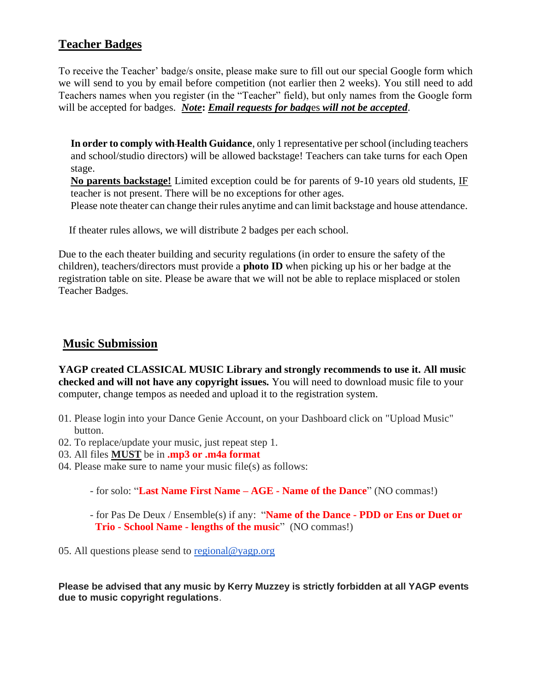## **Teacher Badges**

To receive the Teacher' badge/s onsite, please make sure to fill out our special Google form which we will send to you by email before competition (not earlier then 2 weeks). You still need to add Teachers names when you register (in the "Teacher" field), but only names from the Google form will be accepted for badges. *Note***:** *Email requests for badg*es *will not be accepted*.

**In order to comply with Health Guidance**, only 1 representative per school (including teachers and school/studio directors) will be allowed backstage! Teachers can take turns for each Open stage.

**No parents backstage!** Limited exception could be for parents of 9-10 years old students, IF teacher is not present. There will be no exceptions for other ages.

Please note theater can change their rules anytime and can limit backstage and house attendance.

If theater rules allows, we will distribute 2 badges per each school.

Due to the each theater building and security regulations (in order to ensure the safety of the children), teachers/directors must provide a **photo ID** when picking up his or her badge at the registration table on site. Please be aware that we will not be able to replace misplaced or stolen Teacher Badges.

## <span id="page-6-0"></span>**Music Submission**

**YAGP created CLASSICAL MUSIC Library and strongly recommends to use it. All music checked and will not have any copyright issues.** You will need to download music file to your computer, change tempos as needed and upload it to the registration system.

- 01. Please login into your Dance Genie Account, on your Dashboard click on "Upload Music" button.
- 02. To replace/update your music, just repeat step 1.
- 03. All files **MUST** be in **.mp3 or .m4a format**
- 04. Please make sure to name your music file(s) as follows:

- for solo: "**Last Name First Name – AGE - Name of the Dance**" (NO commas!)

- for Pas De Deux / Ensemble(s) if any: "**Name of the Dance - PDD or Ens or Duet or Trio - School Name - lengths of the music**" (NO commas!)

05. All questions please send to [regional@yagp.org](mailto:regional@yagp.org)

**Please be advised that any music by Kerry Muzzey is strictly forbidden at all YAGP events due to music copyright regulations**.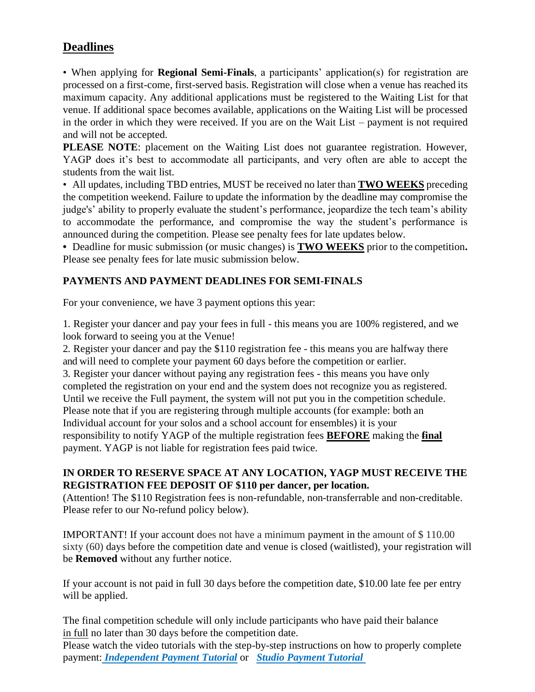# <span id="page-7-0"></span>**Deadlines**

• When applying for **Regional Semi-Finals**, a participants' application(s) for registration are processed on a first-come, first-served basis. Registration will close when a venue has reached its maximum capacity. Any additional applications must be registered to the Waiting List for that venue. If additional space becomes available, applications on the Waiting List will be processed in the order in which they were received. If you are on the Wait List – payment is not required and will not be accepted.

**PLEASE NOTE**: placement on the Waiting List does not guarantee registration. However, YAGP does it's best to accommodate all participants, and very often are able to accept the students from the wait list.

• All updates, including TBD entries, MUST be received no later than **TWO WEEKS** preceding the competition weekend. Failure to update the information by the deadline may compromise the judge's' ability to properly evaluate the student's performance, jeopardize the tech team's ability to accommodate the performance, and compromise the way the student's performance is announced during the competition. Please see penalty fees for late updates below.

**•** Deadline for music submission (or music changes) is **TWO WEEKS** prior to the competition**.** Please see penalty fees for late music submission below.

## **PAYMENTS AND PAYMENT DEADLINES FOR SEMI-FINALS**

For your convenience, we have 3 payment options this year:

1. Register your dancer and pay your fees in full - this means you are 100% registered, and we look forward to seeing you at the Venue!

2. Register your dancer and pay the \$110 registration fee - this means you are halfway there and will need to complete your payment 60 days before the competition or earlier. 3. Register your dancer without paying any registration fees - this means you have only completed the registration on your end and the system does not recognize you as registered. Until we receive the Full payment, the system will not put you in the competition schedule. Please note that if you are registering through multiple accounts (for example: both an Individual account for your solos and a school account for ensembles) it is your responsibility to notify YAGP of the multiple registration fees **BEFORE** making the **final** payment. YAGP is not liable for registration fees paid twice.

## **IN ORDER TO RESERVE SPACE AT ANY LOCATION, YAGP MUST RECEIVE THE REGISTRATION FEE DEPOSIT OF \$110 per dancer, per location.**

(Attention! The \$110 Registration fees is non-refundable, non-transferrable and non-creditable. Please refer to our No-refund policy below).

IMPORTANT! If your account does not have a minimum payment in the amount of \$ 110.00 sixty (60) days before the competition date and venue is closed (waitlisted), your registration will be **Removed** without any further notice.

If your account is not paid in full 30 days before the competition date, \$10.00 late fee per entry will be applied.

The final competition schedule will only include participants who have paid their balance in full no later than 30 days before the competition date.

Please watch the video tutorials with the step-by-step instructions on how to properly complete payment: *[Independent Payment Tutorial](https://www.youtube.com/watch?v=B9YU3lkw9x4)* or*[Studio Payment Tutorial](https://www.youtube.com/watch?v=XkJB5b3bd8A&t=7s)*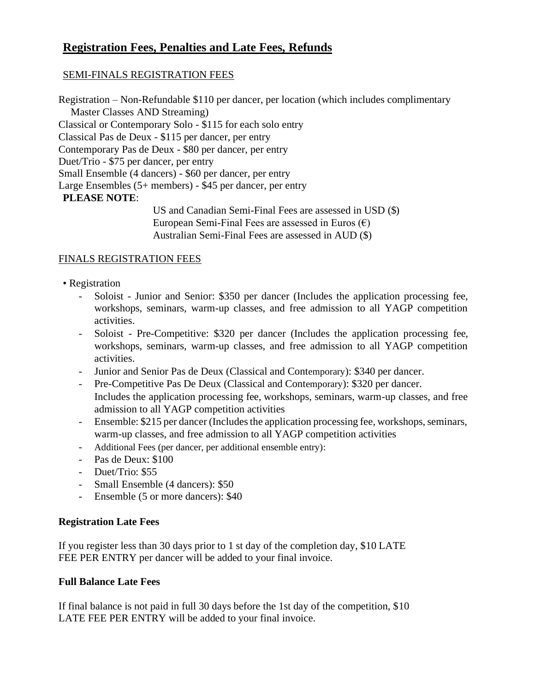# <span id="page-8-0"></span>**Registration Fees, Penalties and Late Fees, Refunds**

#### SEMI-FINALS REGISTRATION FEES

Registration – Non-Refundable \$110 per dancer, per location (which includes complimentary Master Classes AND Streaming) Classical or Contemporary Solo - \$115 for each solo entry Classical Pas de Deux - \$115 per dancer, per entry Contemporary Pas de Deux - \$80 per dancer, per entry Duet/Trio - \$75 per dancer, per entry Small Ensemble (4 dancers) - \$60 per dancer, per entry Large Ensembles (5+ members) - \$45 per dancer, per entry **PLEASE NOTE**:

US and Canadian Semi-Final Fees are assessed in USD (\$) European Semi-Final Fees are assessed in Euros  $(\epsilon)$ Australian Semi-Final Fees are assessed in AUD (\$)

#### FINALS REGISTRATION FEES

#### • Registration

- Soloist Junior and Senior: \$350 per dancer (Includes the application processing fee, workshops, seminars, warm-up classes, and free admission to all YAGP competition activities.
- Soloist Pre-Competitive: \$320 per dancer (Includes the application processing fee, workshops, seminars, warm-up classes, and free admission to all YAGP competition activities.
- Junior and Senior Pas de Deux (Classical and Contemporary): \$340 per dancer.
- Pre-Competitive Pas De Deux (Classical and Contemporary): \$320 per dancer. Includes the application processing fee, workshops, seminars, warm-up classes, and free admission to all YAGP competition activities
- Ensemble: \$215 per dancer (Includes the application processing fee, workshops, seminars, warm-up classes, and free admission to all YAGP competition activities
- Additional Fees (per dancer, per additional ensemble entry):
- Pas de Deux: \$100
- Duet/Trio: \$55
- Small Ensemble (4 dancers): \$50
- Ensemble (5 or more dancers): \$40

#### **Registration Late Fees**

If you register less than 30 days prior to 1 st day of the completion day, \$10 LATE FEE PER ENTRY per dancer will be added to your final invoice.

## **Full Balance Late Fees**

If final balance is not paid in full 30 days before the 1st day of the competition, \$10 LATE FEE PER ENTRY will be added to your final invoice.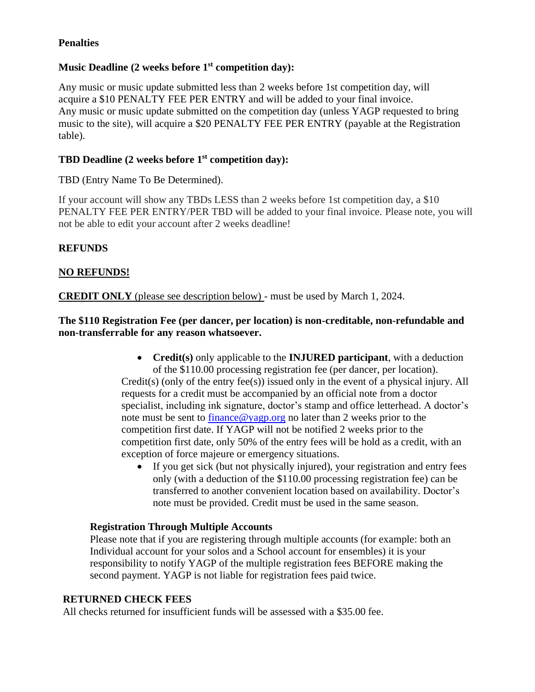## **Penalties**

## **Music Deadline (2 weeks before 1st competition day):**

Any music or music update submitted less than 2 weeks before 1st competition day, will acquire a \$10 PENALTY FEE PER ENTRY and will be added to your final invoice. Any music or music update submitted on the competition day (unless YAGP requested to bring music to the site), will acquire a \$20 PENALTY FEE PER ENTRY (payable at the Registration table).

## **TBD Deadline (2 weeks before 1st competition day):**

TBD (Entry Name To Be Determined).

If your account will show any TBDs LESS than 2 weeks before 1st competition day, a \$10 PENALTY FEE PER ENTRY/PER TBD will be added to your final invoice. Please note, you will not be able to edit your account after 2 weeks deadline!

#### **REFUNDS**

#### **NO REFUNDS!**

**CREDIT ONLY** (please see description below) - must be used by March 1, 2024.

#### **The \$110 Registration Fee (per dancer, per location) is non-creditable, non-refundable and non-transferrable for any reason whatsoever.**

- **Credit(s)** only applicable to the **INJURED participant**, with a deduction of the \$110.00 processing registration fee (per dancer, per location). Credit(s) (only of the entry fee(s)) issued only in the event of a physical injury. All requests for a credit must be accompanied by an official note from a doctor specialist, including ink signature, doctor's stamp and office letterhead. A doctor's note must be sent to  $\frac{\text{finance}\omega_{\text{Vagp.org}}}{\text{log} \omega_{\text{Gap.org}}}$  no later than 2 weeks prior to the competition first date. If YAGP will not be notified 2 weeks prior to the competition first date, only 50% of the entry fees will be hold as a credit, with an exception of force majeure or emergency situations.
	- If you get sick (but not physically injured), your registration and entry fees only (with a deduction of the \$110.00 processing registration fee) can be transferred to another convenient location based on availability. Doctor's note must be provided. Credit must be used in the same season.

#### **Registration Through Multiple Accounts**

Please note that if you are registering through multiple accounts (for example: both an Individual account for your solos and a School account for ensembles) it is your responsibility to notify YAGP of the multiple registration fees BEFORE making the second payment. YAGP is not liable for registration fees paid twice.

#### **RETURNED CHECK FEES**

All checks returned for insufficient funds will be assessed with a \$35.00 fee.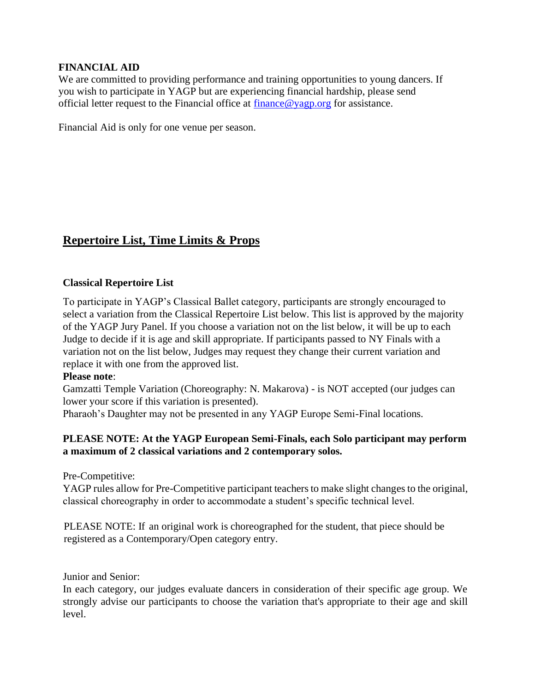#### **FINANCIAL AID**

We are committed to providing performance and training opportunities to young dancers. If you wish to participate in YAGP but are experiencing financial hardship, please send official letter request to the Financial office at [finance@yagp.org](file:///C:/Users/Becky/Downloads/finance@yagp.org) for assistance.

Financial Aid is only for one venue per season.

## <span id="page-10-0"></span>**Repertoire List, Time Limits & Props**

#### **Classical Repertoire List**

To participate in YAGP's Classical Ballet category, participants are strongly encouraged to select a variation from the Classical Repertoire List below. This list is approved by the majority of the YAGP Jury Panel. If you choose a variation not on the list below, it will be up to each Judge to decide if it is age and skill appropriate. If participants passed to NY Finals with a variation not on the list below, Judges may request they change their current variation and replace it with one from the approved list.

#### **Please note**:

Gamzatti Temple Variation (Choreography: N. Makarova) - is NOT accepted (our judges can lower your score if this variation is presented).

Pharaoh's Daughter may not be presented in any YAGP Europe Semi-Final locations.

#### **PLEASE NOTE: At the YAGP European Semi-Finals, each Solo participant may perform a maximum of 2 classical variations and 2 contemporary solos.**

Pre-Competitive:

YAGP rules allow for Pre-Competitive participant teachers to make slight changes to the original, classical choreography in order to accommodate a student's specific technical level.

 PLEASE NOTE: If an original work is choreographed for the student, that piece should be registered as a Contemporary/Open category entry.

Junior and Senior:

In each category, our judges evaluate dancers in consideration of their specific age group. We strongly advise our participants to choose the variation that's appropriate to their age and skill level.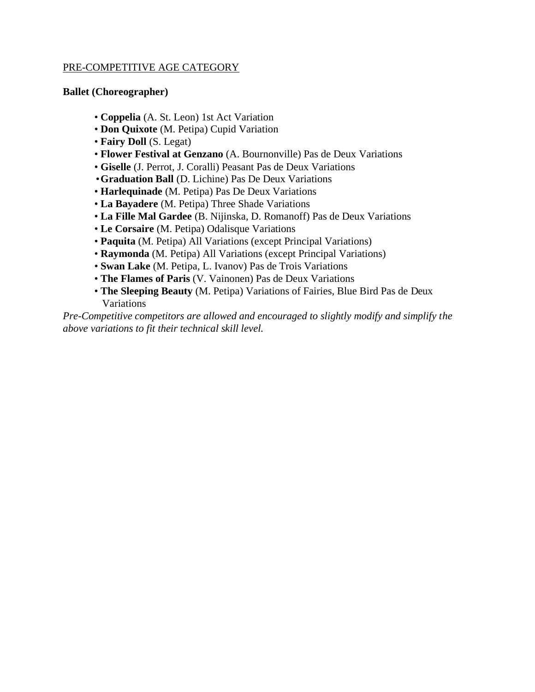#### PRE-COMPETITIVE AGE CATEGORY

#### **Ballet (Choreographer)**

- **Coppelia** (A. St. Leon) 1st Act Variation
- **Don Quixote** (M. Petipa) Cupid Variation
- **Fairy Doll** (S. Legat)
- **Flower Festival at Genzano** (A. Bournonville) Pas de Deux Variations
- **Giselle** (J. Perrot, J. Coralli) Peasant Pas de Deux Variations
- •**Graduation Ball** (D. Lichine) Pas De Deux Variations
- **Harlequinade** (M. Petipa) Pas De Deux Variations
- **La Bayadere** (M. Petipa) Three Shade Variations
- **La Fille Mal Gardee** (B. Nijinska, D. Romanoff) Pas de Deux Variations
- **Le Corsaire** (M. Petipa) Odalisque Variations
- **Paquita** (M. Petipa) All Variations (except Principal Variations)
- **Raymonda** (M. Petipa) All Variations (except Principal Variations)
- **Swan Lake** (M. Petipa, L. Ivanov) Pas de Trois Variations
- **The Flames of Paris** (V. Vainonen) Pas de Deux Variations
- **The Sleeping Beauty** (M. Petipa) Variations of Fairies, Blue Bird Pas de Deux Variations

*Pre-Competitive competitors are allowed and encouraged to slightly modify and simplify the above variations to fit their technical skill level.*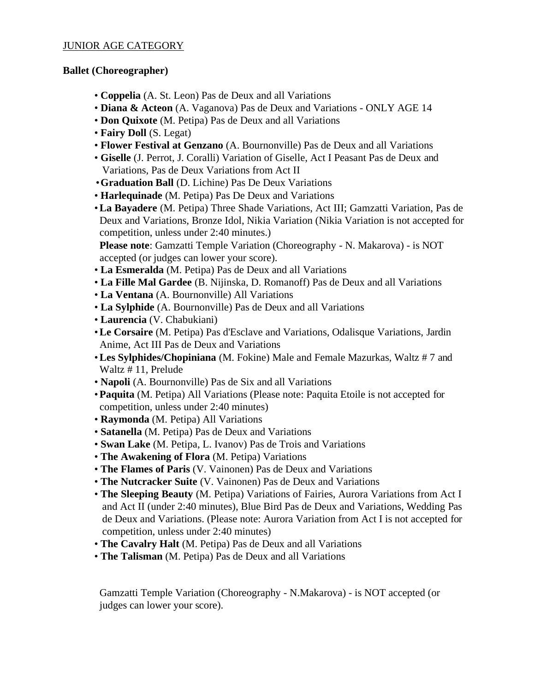#### JUNIOR AGE CATEGORY

#### **Ballet (Choreographer)**

- **Coppelia** (A. St. Leon) Pas de Deux and all Variations
- **Diana & Acteon** (A. Vaganova) Pas de Deux and Variations ONLY AGE 14
- **Don Quixote** (M. Petipa) Pas de Deux and all Variations
- **Fairy Doll** (S. Legat)
- **Flower Festival at Genzano** (A. Bournonville) Pas de Deux and all Variations
- **Giselle** (J. Perrot, J. Coralli) Variation of Giselle, Act I Peasant Pas de Deux and Variations, Pas de Deux Variations from Act II
- •**Graduation Ball** (D. Lichine) Pas De Deux Variations
- **Harlequinade** (M. Petipa) Pas De Deux and Variations
- •**La Bayadere** (M. Petipa) Three Shade Variations, Act III; Gamzatti Variation, Pas de Deux and Variations, Bronze Idol, Nikia Variation (Nikia Variation is not accepted for competition, unless under 2:40 minutes.)

**Please note**: Gamzatti Temple Variation (Choreography - N. Makarova) - is NOT accepted (or judges can lower your score).

- **La Esmeralda** (M. Petipa) Pas de Deux and all Variations
- **La Fille Mal Gardee** (B. Nijinska, D. Romanoff) Pas de Deux and all Variations
- **La Ventana** (A. Bournonville) All Variations
- **La Sylphide** (A. Bournonville) Pas de Deux and all Variations
- **Laurencia** (V. Chabukiani)
- •**Le Corsaire** (M. Petipa) Pas d'Esclave and Variations, Odalisque Variations, Jardin Anime, Act III Pas de Deux and Variations
- •**Les Sylphides/Chopiniana** (M. Fokine) Male and Female Mazurkas, Waltz # 7 and Waltz # 11, Prelude
- **Napoli** (A. Bournonville) Pas de Six and all Variations
- •**Paquita** (M. Petipa) All Variations (Please note: Paquita Etoile is not accepted for competition, unless under 2:40 minutes)
- **Raymonda** (M. Petipa) All Variations
- **Satanella** (M. Petipa) Pas de Deux and Variations
- **Swan Lake** (M. Petipa, L. Ivanov) Pas de Trois and Variations
- **The Awakening of Flora** (M. Petipa) Variations
- **The Flames of Paris** (V. Vainonen) Pas de Deux and Variations
- **The Nutcracker Suite** (V. Vainonen) Pas de Deux and Variations
- **The Sleeping Beauty** (M. Petipa) Variations of Fairies, Aurora Variations from Act I and Act II (under 2:40 minutes), Blue Bird Pas de Deux and Variations, Wedding Pas de Deux and Variations. (Please note: Aurora Variation from Act I is not accepted for competition, unless under 2:40 minutes)
- **The Cavalry Halt** (M. Petipa) Pas de Deux and all Variations
- **The Talisman** (M. Petipa) Pas de Deux and all Variations

Gamzatti Temple Variation (Choreography - N.Makarova) - is NOT accepted (or judges can lower your score).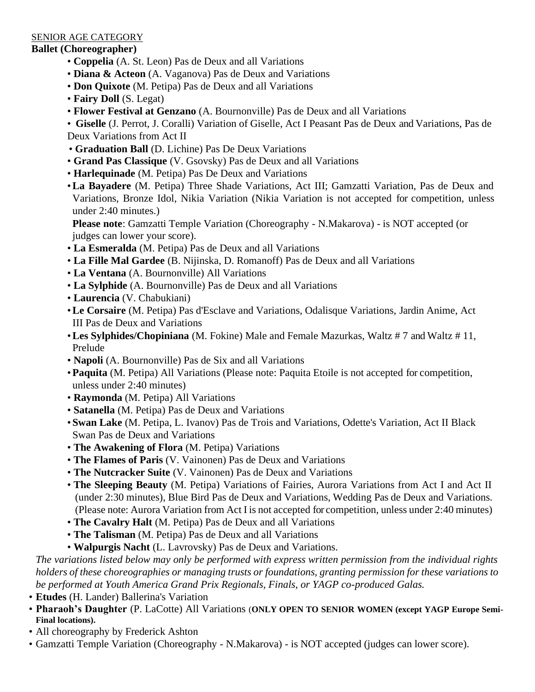#### SENIOR AGE CATEGORY

#### **Ballet (Choreographer)**

- **Coppelia** (A. St. Leon) Pas de Deux and all Variations
- **Diana & Acteon** (A. Vaganova) Pas de Deux and Variations
- **Don Quixote** (M. Petipa) Pas de Deux and all Variations
- **Fairy Doll** (S. Legat)
- **Flower Festival at Genzano** (A. Bournonville) Pas de Deux and all Variations

• **Giselle** (J. Perrot, J. Coralli) Variation of Giselle, Act I Peasant Pas de Deux and Variations, Pas de Deux Variations from Act II

- **Graduation Ball** (D. Lichine) Pas De Deux Variations
- **Grand Pas Classique** (V. Gsovsky) Pas de Deux and all Variations
- **Harlequinade** (M. Petipa) Pas De Deux and Variations
- •**La Bayadere** (M. Petipa) Three Shade Variations, Act III; Gamzatti Variation, Pas de Deux and Variations, Bronze Idol, Nikia Variation (Nikia Variation is not accepted for competition, unless under 2:40 minutes.)

**Please note**: Gamzatti Temple Variation (Choreography - N.Makarova) - is NOT accepted (or judges can lower your score).

- **La Esmeralda** (M. Petipa) Pas de Deux and all Variations
- **La Fille Mal Gardee** (B. Nijinska, D. Romanoff) Pas de Deux and all Variations
- **La Ventana** (A. Bournonville) All Variations
- **La Sylphide** (A. Bournonville) Pas de Deux and all Variations
- **Laurencia** (V. Chabukiani)
- •**Le Corsaire** (M. Petipa) Pas d'Esclave and Variations, Odalisque Variations, Jardin Anime, Act III Pas de Deux and Variations
- •**Les Sylphides/Chopiniana** (M. Fokine) Male and Female Mazurkas, Waltz # 7 and Waltz # 11, Prelude
- **Napoli** (A. Bournonville) Pas de Six and all Variations
- •**Paquita** (M. Petipa) All Variations (Please note: Paquita Etoile is not accepted for competition, unless under 2:40 minutes)
- **Raymonda** (M. Petipa) All Variations
- **Satanella** (M. Petipa) Pas de Deux and Variations
- **Swan Lake** (M. Petipa, L. Ivanov) Pas de Trois and Variations, Odette's Variation, Act II Black Swan Pas de Deux and Variations
- **The Awakening of Flora** (M. Petipa) Variations
- **The Flames of Paris** (V. Vainonen) Pas de Deux and Variations
- **The Nutcracker Suite** (V. Vainonen) Pas de Deux and Variations
- **The Sleeping Beauty** (M. Petipa) Variations of Fairies, Aurora Variations from Act I and Act II (under 2:30 minutes), Blue Bird Pas de Deux and Variations, Wedding Pas de Deux and Variations. (Please note: Aurora Variation from Act I is not accepted for competition, unless under 2:40 minutes)
- **The Cavalry Halt** (M. Petipa) Pas de Deux and all Variations
- **The Talisman** (M. Petipa) Pas de Deux and all Variations
- **Walpurgis Nacht** (L. Lavrovsky) Pas de Deux and Variations.

*The variations listed below may only be performed with express written permission from the individual rights holders of these choreographies or managing trusts or foundations, granting permission for these variations to be performed at Youth America Grand Prix Regionals, Finals, or YAGP co-produced Galas.*

- **Etudes** (H. Lander) Ballerina's Variation
- **Pharaoh's Daughter** (P. LaCotte) All Variations (**ONLY OPEN TO SENIOR WOMEN (except YAGP Europe Semi-Final locations).**
- All choreography by Frederick Ashton
- Gamzatti Temple Variation (Choreography N.Makarova) is NOT accepted (judges can lower score).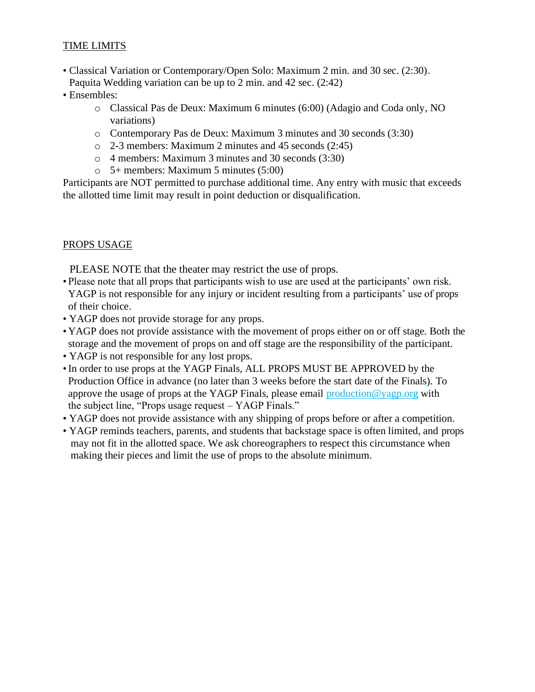## TIME LIMITS

- Classical Variation or Contemporary/Open Solo: Maximum 2 min. and 30 sec. (2:30). Paquita Wedding variation can be up to 2 min. and 42 sec. (2:42)
- Ensembles:
	- o Classical Pas de Deux: Maximum 6 minutes (6:00) (Adagio and Coda only, NO variations)
	- o Contemporary Pas de Deux: Maximum 3 minutes and 30 seconds (3:30)
	- o 2-3 members: Maximum 2 minutes and 45 seconds (2:45)
	- o 4 members: Maximum 3 minutes and 30 seconds (3:30)
	- o 5+ members: Maximum 5 minutes (5:00)

Participants are NOT permitted to purchase additional time. Any entry with music that exceeds the allotted time limit may result in point deduction or disqualification.

#### PROPS USAGE

PLEASE NOTE that the theater may restrict the use of props.

- Please note that all props that participants wish to use are used at the participants' own risk. YAGP is not responsible for any injury or incident resulting from a participants' use of props of their choice.
- YAGP does not provide storage for any props.
- YAGP does not provide assistance with the movement of props either on or off stage. Both the storage and the movement of props on and off stage are the responsibility of the participant.
- YAGP is not responsible for any lost props.
- •In order to use props at the YAGP Finals, ALL PROPS MUST BE APPROVED by the Production Office in advance (no later than 3 weeks before the start date of the Finals). To approve the usage of props at the YAGP Finals, please email production @yagp.org with the subject line, "Props usage request – YAGP Finals."
- YAGP does not provide assistance with any shipping of props before or after a competition.
- YAGP reminds teachers, parents, and students that backstage space is often limited, and props may not fit in the allotted space. We ask choreographers to respect this circumstance when making their pieces and limit the use of props to the absolute minimum.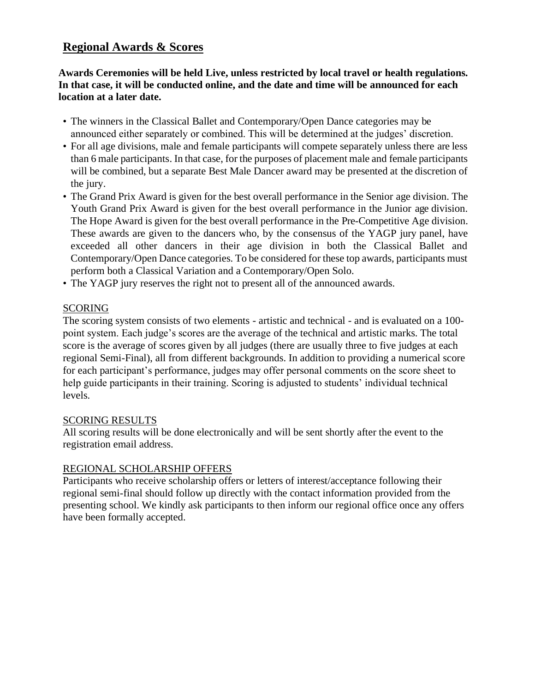# <span id="page-15-0"></span>**Regional Awards & Scores**

**Awards Ceremonies will be held Live, unless restricted by local travel or health regulations. In that case, it will be conducted online, and the date and time will be announced for each location at a later date.**

- The winners in the Classical Ballet and Contemporary/Open Dance categories may be announced either separately or combined. This will be determined at the judges' discretion.
- For all age divisions, male and female participants will compete separately unless there are less than 6 male participants. In that case, for the purposes of placement male and female participants will be combined, but a separate Best Male Dancer award may be presented at the discretion of the jury.
- The Grand Prix Award is given for the best overall performance in the Senior age division. The Youth Grand Prix Award is given for the best overall performance in the Junior age division. The Hope Award is given for the best overall performance in the Pre-Competitive Age division. These awards are given to the dancers who, by the consensus of the YAGP jury panel, have exceeded all other dancers in their age division in both the Classical Ballet and Contemporary/Open Dance categories. To be considered for these top awards, participants must perform both a Classical Variation and a Contemporary/Open Solo.
- The YAGP jury reserves the right not to present all of the announced awards.

#### SCORING

The scoring system consists of two elements - artistic and technical - and is evaluated on a 100 point system. Each judge's scores are the average of the technical and artistic marks. The total score is the average of scores given by all judges (there are usually three to five judges at each regional Semi-Final), all from different backgrounds. In addition to providing a numerical score for each participant's performance, judges may offer personal comments on the score sheet to help guide participants in their training. Scoring is adjusted to students' individual technical levels.

#### SCORING RESULTS

All scoring results will be done electronically and will be sent shortly after the event to the registration email address.

#### REGIONAL SCHOLARSHIP OFFERS

Participants who receive scholarship offers or letters of interest/acceptance following their regional semi-final should follow up directly with the contact information provided from the presenting school. We kindly ask participants to then inform our regional office once any offers have been formally accepted.